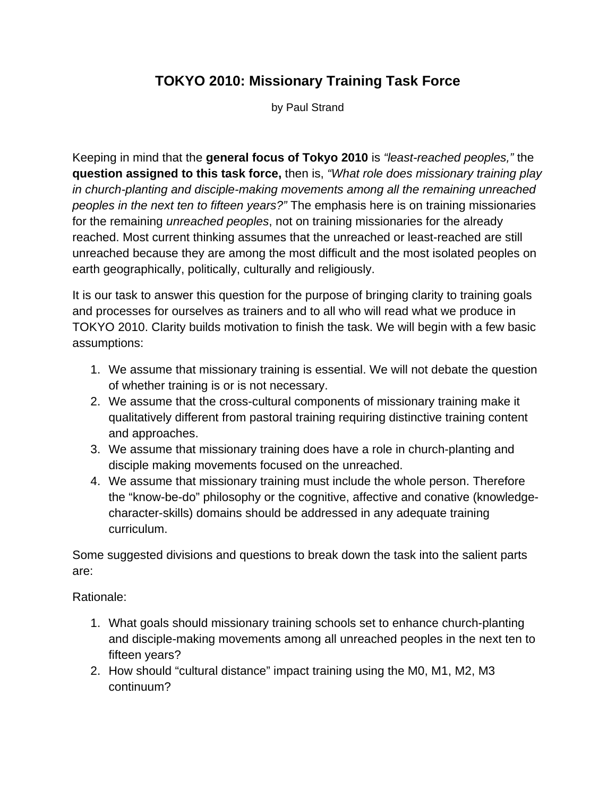## **TOKYO 2010: Missionary Training Task Force**

by Paul Strand

Keeping in mind that the **general focus of Tokyo 2010** is *"least-reached peoples,"* the **question assigned to this task force,** then is, *"What role does missionary training play in church-planting and disciple-making movements among all the remaining unreached peoples in the next ten to fifteen years?"* The emphasis here is on training missionaries for the remaining *unreached peoples*, not on training missionaries for the already reached. Most current thinking assumes that the unreached or least-reached are still unreached because they are among the most difficult and the most isolated peoples on earth geographically, politically, culturally and religiously.

It is our task to answer this question for the purpose of bringing clarity to training goals and processes for ourselves as trainers and to all who will read what we produce in TOKYO 2010. Clarity builds motivation to finish the task. We will begin with a few basic assumptions:

- 1. We assume that missionary training is essential. We will not debate the question of whether training is or is not necessary.
- 2. We assume that the cross-cultural components of missionary training make it qualitatively different from pastoral training requiring distinctive training content and approaches.
- 3. We assume that missionary training does have a role in church-planting and disciple making movements focused on the unreached.
- 4. We assume that missionary training must include the whole person. Therefore the "know-be-do" philosophy or the cognitive, affective and conative (knowledgecharacter-skills) domains should be addressed in any adequate training curriculum.

Some suggested divisions and questions to break down the task into the salient parts are:

Rationale:

- 1. What goals should missionary training schools set to enhance church-planting and disciple-making movements among all unreached peoples in the next ten to fifteen years?
- 2. How should "cultural distance" impact training using the M0, M1, M2, M3 continuum?